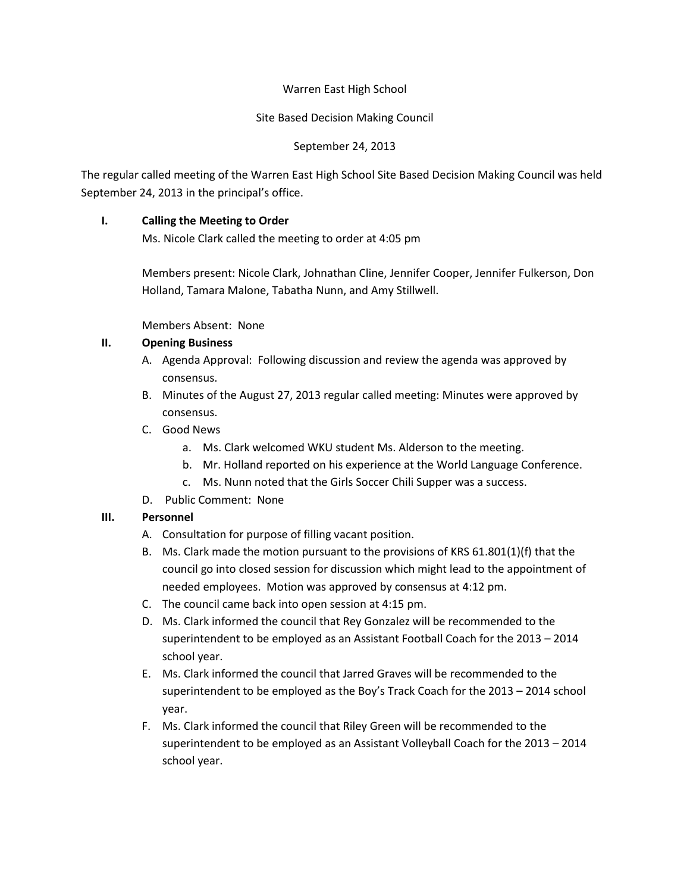#### Warren East High School

#### Site Based Decision Making Council

## September 24, 2013

The regular called meeting of the Warren East High School Site Based Decision Making Council was held September 24, 2013 in the principal's office.

## **I. Calling the Meeting to Order**

Ms. Nicole Clark called the meeting to order at 4:05 pm

Members present: Nicole Clark, Johnathan Cline, Jennifer Cooper, Jennifer Fulkerson, Don Holland, Tamara Malone, Tabatha Nunn, and Amy Stillwell.

Members Absent: None

### **II. Opening Business**

- A. Agenda Approval: Following discussion and review the agenda was approved by consensus.
- B. Minutes of the August 27, 2013 regular called meeting: Minutes were approved by consensus.
- C. Good News
	- a. Ms. Clark welcomed WKU student Ms. Alderson to the meeting.
	- b. Mr. Holland reported on his experience at the World Language Conference.
	- c. Ms. Nunn noted that the Girls Soccer Chili Supper was a success.
- D. Public Comment: None

# **III. Personnel**

- A. Consultation for purpose of filling vacant position.
- B. Ms. Clark made the motion pursuant to the provisions of KRS 61.801(1)(f) that the council go into closed session for discussion which might lead to the appointment of needed employees. Motion was approved by consensus at 4:12 pm.
- C. The council came back into open session at 4:15 pm.
- D. Ms. Clark informed the council that Rey Gonzalez will be recommended to the superintendent to be employed as an Assistant Football Coach for the 2013 – 2014 school year.
- E. Ms. Clark informed the council that Jarred Graves will be recommended to the superintendent to be employed as the Boy's Track Coach for the 2013 – 2014 school year.
- F. Ms. Clark informed the council that Riley Green will be recommended to the superintendent to be employed as an Assistant Volleyball Coach for the 2013 – 2014 school year.